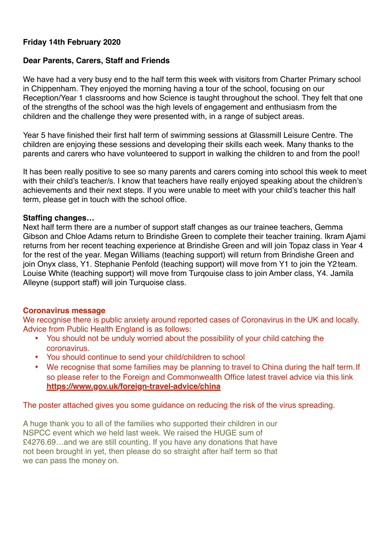#### **Friday 14th February 2020**

#### **Dear Parents, Carers, Staff and Friends**

We have had a very busy end to the half term this week with visitors from Charter Primary school in Chippenham. They enjoyed the morning having a tour of the school, focusing on our Reception/Year 1 classrooms and how Science is taught throughout the school. They felt that one of the strengths of the school was the high levels of engagement and enthusiasm from the children and the challenge they were presented with, in a range of subject areas.

Year 5 have finished their first half term of swimming sessions at Glassmill Leisure Centre. The children are enjoying these sessions and developing their skills each week. Many thanks to the parents and carers who have volunteered to support in walking the children to and from the pool!

It has been really positive to see so many parents and carers coming into school this week to meet with their child's teacher/s. I know that teachers have really enjoyed speaking about the children's achievements and their next steps. If you were unable to meet with your child's teacher this half term, please get in touch with the school office.

#### **Staffing changes…**

Next half term there are a number of support staff changes as our trainee teachers, Gemma Gibson and Chloe Adams return to Brindishe Green to complete their teacher training. Ikram Ajami returns from her recent teaching experience at Brindishe Green and will join Topaz class in Year 4 for the rest of the year. Megan Williams (teaching support) will return from Brindishe Green and join Onyx class, Y1. Stephanie Penfold (teaching support) will move from Y1 to join the Y2team. Louise White (teaching support) will move from Turqouise class to join Amber class, Y4. Jamila Alleyne (support staff) will join Turquoise class.

#### **Coronavirus message**

We recognise there is public anxiety around reported cases of Coronavirus in the UK and locally. Advice from Public Health England is as follows:

- You should not be unduly worried about the possibility of your child catching the coronavirus.
- You should continue to send your child/children to school
- We recognise that some families may be planning to travel to China during the half term. If so please refer to the Foreign and Commonwealth Office latest travel advice via this link **<https://www.gov.uk/foreign-travel-advice/china>**

The poster attached gives you some guidance on reducing the risk of the virus spreading.

A huge thank you to all of the families who supported their children in our NSPCC event which we held last week. We raised the HUGE sum of £4276.69…and we are still counting. If you have any donations that have not been brought in yet, then please do so straight after half term so that we can pass the money on.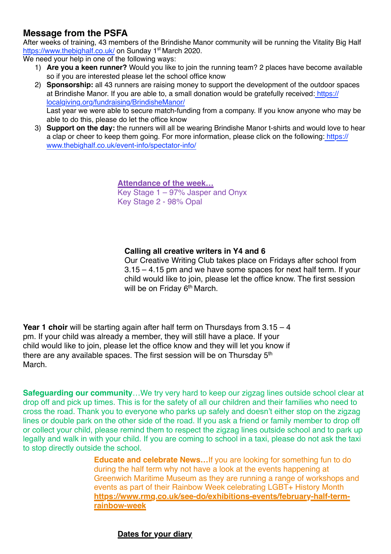### **Message from the PSFA**

After weeks of training, 43 members of the Brindishe Manor community will be running the Vitality Big Half <https://www.thebighalf.co.uk/> on Sunday 1<sup>st</sup> March 2020.

We need your help in one of the following ways:

- 1) **Are you a keen runner?** Would you like to join the running team? 2 places have become available so if you are interested please let the school office know
- 2) **Sponsorship:** all 43 runners are raising money to support the development of the outdoor spaces at Brindishe Manor. If you are able to, a small donation would be gratefully received[: https://](https://localgiving.org/fundraising/BrindisheManor/) [localgiving.org/fundraising/BrindisheManor/](https://localgiving.org/fundraising/BrindisheManor/) Last year we were able to secure match-funding from a company. If you know anyone who may be able to do this, please do let the office know
- 3) **Support on the day:** the runners will all be wearing Brindishe Manor t-shirts and would love to hear a clap or cheer to keep them going. For more information, please click on the following: [https://](https://www.thebighalf.co.uk/event-info/spectator-info/) [www.thebighalf.co.uk/event-info/spectator-info/](https://www.thebighalf.co.uk/event-info/spectator-info/)

**Attendance of the week…** Key Stage 1 – 97% Jasper and Onyx Key Stage 2 - 98% Opal

#### **Calling all creative writers in Y4 and 6**

Our Creative Writing Club takes place on Fridays after school from 3.15 – 4.15 pm and we have some spaces for next half term. If your child would like to join, please let the office know. The first session will be on Friday 6<sup>th</sup> March.

**Year 1 choir** will be starting again after half term on Thursdays from 3.15 – 4 pm. If your child was already a member, they will still have a place. If your child would like to join, please let the office know and they will let you know if there are any available spaces. The first session will be on Thursday 5<sup>th</sup> March.

**Safeguarding our community**…We try very hard to keep our zigzag lines outside school clear at drop off and pick up times. This is for the safety of all our children and their families who need to cross the road. Thank you to everyone who parks up safely and doesn't either stop on the zigzag lines or double park on the other side of the road. If you ask a friend or family member to drop off or collect your child, please remind them to respect the zigzag lines outside school and to park up legally and walk in with your child. If you are coming to school in a taxi, please do not ask the taxi to stop directly outside the school.

> **Educate and celebrate News…**If you are looking for something fun to do during the half term why not have a look at the events happening at Greenwich Maritime Museum as they are running a range of workshops and events as part of their Rainbow Week celebrating LGBT+ History Month **https://www.rmg.co.uk/see-do/exhibitions-events/february-half-term[rainbow-week](https://www.rmg.co.uk/see-do/exhibitions-events/february-half-term-rainbow-week)**

#### **Dates for your diary**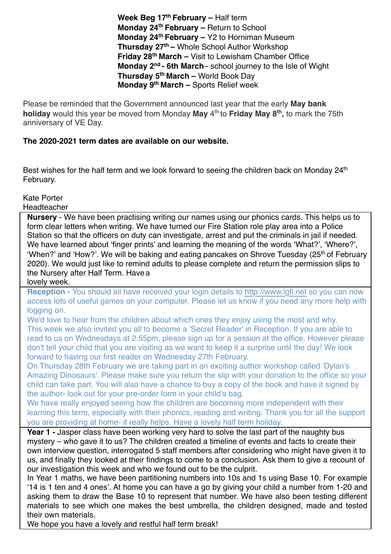Week Beg 17<sup>th</sup> February – Half term **Monday 24<sup>th</sup> February – Return to School Monday 24th February –** Y2 to Horniman Museum **Thursday 27th –** Whole School Author Workshop **Friday 28th March –** Visit to Lewisham Chamber Office **Monday 2nd - 6th March**– school journey to the Isle of Wight **Thursday 5th March –** World Book Day **Monday 9th March –** Sports Relief week

Please be reminded that the Government announced last year that the early **May bank holiday** would this year be moved from Monday **May** 4th to **Friday May 8th,** to mark the 75th anniversary of VE Day.

#### **The 2020-2021 term dates are available on our website.**

Best wishes for the half term and we look forward to seeing the children back on Monday  $24<sup>th</sup>$ February.

Kate Porter

**Headteacher** 

**Nursery** - We have been practising writing our names using our phonics cards. This helps us to form clear letters when writing. We have turned our Fire Station role play area into a Police Station so that the officers on duty can investigate, arrest and put the criminals in jail if needed. We have learned about 'finger prints' and learning the meaning of the words 'What?', 'Where?', 'When?' and 'How?'. We will be baking and eating pancakes on Shrove Tuesday (25<sup>th</sup> of February 2020). We would just like to remind adults to please complete and return the permission slips to the Nursery after Half Term. Havea

lovely week.

**Reception -** You should all have received your login details to [http://www.lgfl.net](http://www.lgfl.net/) so you can now access lots of useful games on your computer. Please let us know if you need any more help with logging on.

We'd love to hear from the children about which ones they enjoy using the most and why. This week we also invited you all to become a 'Secret Reader' in Reception. If you are able to read to us on Wednesdays at 2.55pm, please sign up for a session at the office. However please don't tell your child that you are visiting as we want to keep it a surprise until the day! We look forward to having our first reader on Wednesday 27th February.

On Thursday 28th February we are taking part in an exciting author workshop called 'Dylan's Amazing Dinosaurs'. Please make sure you return the slip with your donation to the office so your child can take part. You will also have a chance to buy a copy of the book and have it signed by the author- look out for your pre-order form in your child's bag.

We have really enjoyed seeing how the children are becoming more independent with their learning this term, especially with their phonics, reading and writing. Thank you for all the support you are providing at home- it really helps. Have a lovely half term holiday.

**Year 1 - Jasper class have been working very hard to solve the last part of the naughty bus** mystery – who gave it to us? The children created a timeline of events and facts to create their own interview question, interrogated 5 staff members after considering who might have given it to us, and finally they looked at their findings to come to a conclusion. Ask them to give a recount of our investigation this week and who we found out to be the culprit.

In Year 1 maths, we have been partitioning numbers into 10s and 1s using Base 10. For example '14 is 1 ten and 4 ones'. At home you can have a go by giving your child a number from 1-20 and asking them to draw the Base 10 to represent that number. We have also been testing different materials to see which one makes the best umbrella, the children designed, made and tested their own materials.

We hope you have a lovely and restful half term break!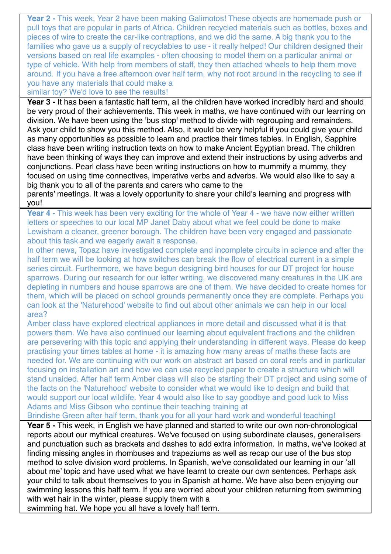**Year 2 -** This week, Year 2 have been making Galimotos! These objects are homemade push or pull toys that are popular in parts of Africa. Children recycled materials such as bottles, boxes and pieces of wire to create the car-like contraptions, and we did the same. A big thank you to the families who gave us a supply of recyclables to use - it really helped! Our children designed their versions based on real life examples - often choosing to model them on a particular animal or type of vehicle. With help from members of staff, they then attached wheels to help them move around. If you have a free afternoon over half term, why not root around in the recycling to see if you have any materials that could make a

similar toy? We'd love to see the results!

**Year 3 -** It has been a fantastic half term, all the children have worked incredibly hard and should be very proud of their achievements. This week in maths, we have continued with our learning on division. We have been using the 'bus stop' method to divide with regrouping and remainders. Ask your child to show you this method. Also, it would be very helpful if you could give your child as many opportunities as possible to learn and practice their times tables. In English, Sapphire class have been writing instruction texts on how to make Ancient Egyptian bread. The children have been thinking of ways they can improve and extend their instructions by using adverbs and conjunctions. Pearl class have been writing instructions on how to mummify a mummy, they focused on using time connectives, imperative verbs and adverbs. We would also like to say a big thank you to all of the parents and carers who came to the

parents' meetings. It was a lovely opportunity to share your child's learning and progress with you!

**Year 4** - This week has been very exciting for the whole of Year 4 - we have now either written letters or speeches to our local MP Janet Daby about what we feel could be done to make Lewisham a cleaner, greener borough. The children have been very engaged and passionate about this task and we eagerly await a response.

In other news, Topaz have investigated complete and incomplete circuits in science and after the half term we will be looking at how switches can break the flow of electrical current in a simple series circuit. Furthermore, we have begun designing bird houses for our DT project for house sparrows. During our research for our letter writing, we discovered many creatures in the UK are depleting in numbers and house sparrows are one of them. We have decided to create homes for them, which will be placed on school grounds permanently once they are complete. Perhaps you can look at the 'Naturehood' website to find out about other animals we can help in our local area?

Amber class have explored electrical appliances in more detail and discussed what it is that powers them. We have also continued our learning about equivalent fractions and the children are persevering with this topic and applying their understanding in different ways. Please do keep practising your times tables at home - it is amazing how many areas of maths these facts are needed for. We are continuing with our work on abstract art based on coral reefs and in particular focusing on installation art and how we can use recycled paper to create a structure which will stand unaided. After half term Amber class will also be starting their DT project and using some of the facts on the 'Naturehood' website to consider what we would like to design and build that would support our local wildlife. Year 4 would also like to say goodbye and good luck to Miss Adams and Miss Gibson who continue their teaching training at

Brindishe Green after half term, thank you for all your hard work and wonderful teaching!

**Year 5 -** This week, in English we have planned and started to write our own non-chronological reports about our mythical creatures. We've focused on using subordinate clauses, generalisers and punctuation such as brackets and dashes to add extra information. In maths, we've looked at finding missing angles in rhombuses and trapeziums as well as recap our use of the bus stop method to solve division word problems. In Spanish, we've consolidated our learning in our 'all about me' topic and have used what we have learnt to create our own sentences. Perhaps ask your child to talk about themselves to you in Spanish at home. We have also been enjoying our swimming lessons this half term. If you are worried about your children returning from swimming with wet hair in the winter, please supply them with a

swimming hat. We hope you all have a lovely half term.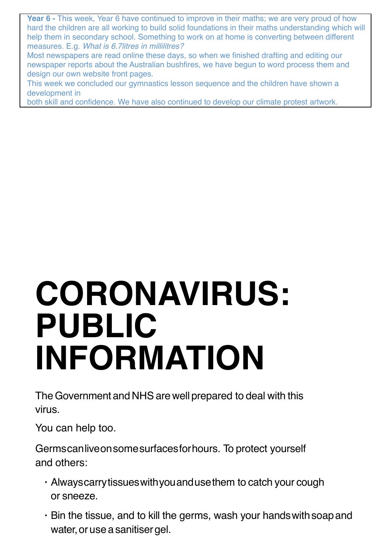**Year 6 -** This week, Year 6 have continued to improve in their maths; we are very proud of how hard the children are all working to build solid foundations in their maths understanding which will help them in secondary school. Something to work on at home is converting between different measures. E.g. *What is 6.7litres in millilitres?*

Most newspapers are read online these days, so when we finished drafting and editing our newspaper reports about the Australian bushfires, we have begun to word process them and design our own website front pages.

This week we concluded our gymnastics lesson sequence and the children have shown a development in

both skill and confidence. We have also continued to develop our climate protest artwork.

# **CORONAVIRUS: PUBLIC INFORMATION**

The Government and NHS are well prepared to deal with this virus.

You can help too.

Germscanliveonsomesurfacesforhours. To protect yourself and others:

- Alwayscarrytissueswithyouandusethem to catch your cough or sneeze.
- $\cdot$  Bin the tissue, and to kill the germs, wash your hands with soap and water, or use a sanitiser gel.